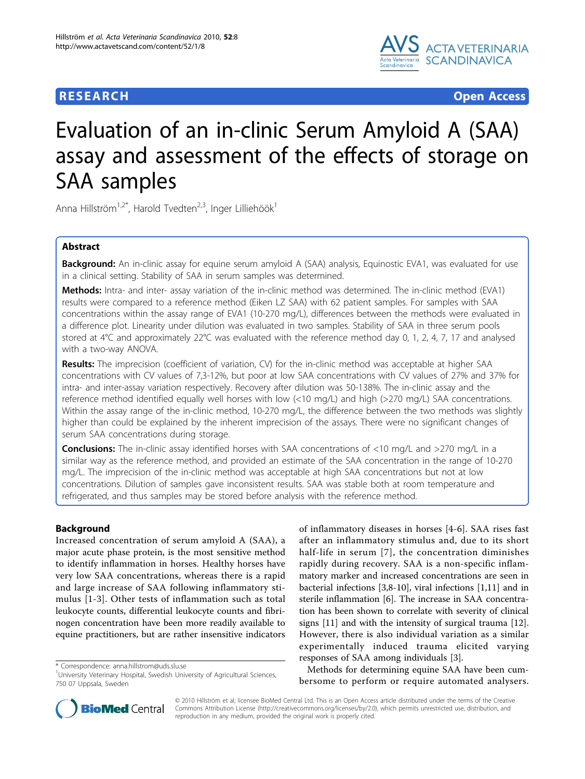

**RESEARCH CONTROL** CONTROL CONTROL CONTROL CONTROL CONTROL CONTROL CONTROL CONTROL CONTROL CONTROL CONTROL CONTROL CONTROL CONTROL CONTROL CONTROL CONTROL CONTROL CONTROL CONTROL CONTROL CONTROL CONTROL CONTROL CONTROL CON

# Evaluation of an in-clinic Serum Amyloid A (SAA) assay and assessment of the effects of storage on SAA samples

Anna Hillström<sup>1,2\*</sup>, Harold Tvedten<sup>2,3</sup>, Inger Lilliehöök<sup>1</sup>

# Abstract

Background: An in-clinic assay for equine serum amyloid A (SAA) analysis, Equinostic EVA1, was evaluated for use in a clinical setting. Stability of SAA in serum samples was determined.

Methods: Intra- and inter- assay variation of the in-clinic method was determined. The in-clinic method (EVA1) results were compared to a reference method (Eiken LZ SAA) with 62 patient samples. For samples with SAA concentrations within the assay range of EVA1 (10-270 mg/L), differences between the methods were evaluated in a difference plot. Linearity under dilution was evaluated in two samples. Stability of SAA in three serum pools stored at 4°C and approximately 22°C was evaluated with the reference method day 0, 1, 2, 4, 7, 17 and analysed with a two-way ANOVA.

Results: The imprecision (coefficient of variation, CV) for the in-clinic method was acceptable at higher SAA concentrations with CV values of 7,3-12%, but poor at low SAA concentrations with CV values of 27% and 37% for intra- and inter-assay variation respectively. Recovery after dilution was 50-138%. The in-clinic assay and the reference method identified equally well horses with low (<10 mg/L) and high (>270 mg/L) SAA concentrations. Within the assay range of the in-clinic method, 10-270 mg/L, the difference between the two methods was slightly higher than could be explained by the inherent imprecision of the assays. There were no significant changes of serum SAA concentrations during storage.

**Conclusions:** The in-clinic assay identified horses with SAA concentrations of <10 mg/L and >270 mg/L in a similar way as the reference method, and provided an estimate of the SAA concentration in the range of 10-270 mg/L. The imprecision of the in-clinic method was acceptable at high SAA concentrations but not at low concentrations. Dilution of samples gave inconsistent results. SAA was stable both at room temperature and refrigerated, and thus samples may be stored before analysis with the reference method.

# Background

Increased concentration of serum amyloid A (SAA), a major acute phase protein, is the most sensitive method to identify inflammation in horses. Healthy horses have very low SAA concentrations, whereas there is a rapid and large increase of SAA following inflammatory stimulus [[1-3\]](#page-5-0). Other tests of inflammation such as total leukocyte counts, differential leukocyte counts and fibrinogen concentration have been more readily available to equine practitioners, but are rather insensitive indicators

of inflammatory diseases in horses [[4-6\]](#page-5-0). SAA rises fast after an inflammatory stimulus and, due to its short half-life in serum [[7\]](#page-5-0), the concentration diminishes rapidly during recovery. SAA is a non-specific inflammatory marker and increased concentrations are seen in bacterial infections [\[3,8](#page-5-0)-[10\]](#page-5-0), viral infections [\[1,11\]](#page-5-0) and in sterile inflammation [\[6\]](#page-5-0). The increase in SAA concentration has been shown to correlate with severity of clinical signs [\[11](#page-5-0)] and with the intensity of surgical trauma [\[12](#page-5-0)]. However, there is also individual variation as a similar experimentally induced trauma elicited varying responses of SAA among individuals [[3\]](#page-5-0).

Methods for determining equine SAA have been cumbersome to perform or require automated analysers.



© 2010 Hillström et al; licensee BioMed Central Ltd. This is an Open Access article distributed under the terms of the Creative Commons Attribution License [\(http://creativecommons.org/licenses/by/2.0](http://creativecommons.org/licenses/by/2.0)), which permits unrestricted use, distribution, and reproduction in any medium, provided the original work is properly cited.

<sup>\*</sup> Correspondence: [anna.hillstrom@uds.slu.se](mailto:anna.hillstrom@uds.slu.se)

<sup>&</sup>lt;sup>1</sup>University Veterinary Hospital, Swedish University of Agricultural Sciences, 750 07 Uppsala, Sweden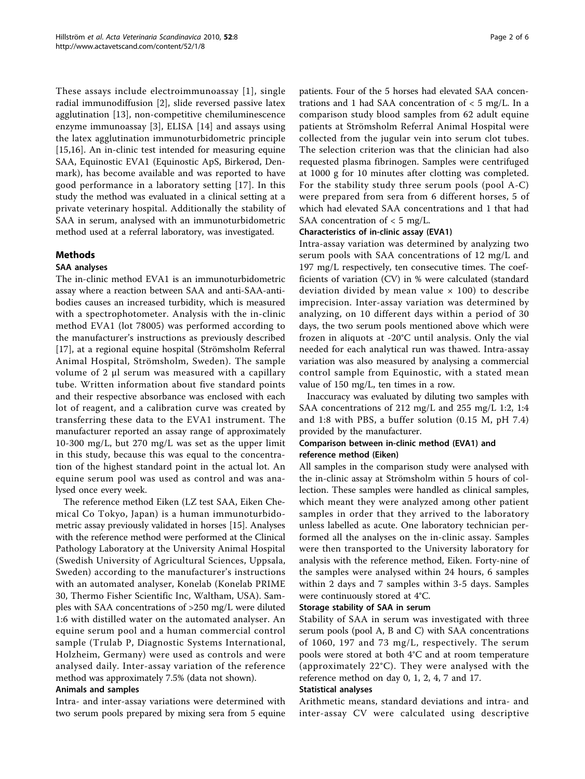These assays include electroimmunoassay [[1\]](#page-5-0), single radial immunodiffusion [[2\]](#page-5-0), slide reversed passive latex agglutination [[13](#page-5-0)], non-competitive chemiluminescence enzyme immunoassay [[3\]](#page-5-0), ELISA [[14\]](#page-5-0) and assays using the latex agglutination immunoturbidometric principle [[15,16\]](#page-5-0). An in-clinic test intended for measuring equine SAA, Equinostic EVA1 (Equinostic ApS, Birkerød, Denmark), has become available and was reported to have good performance in a laboratory setting [[17\]](#page-5-0). In this study the method was evaluated in a clinical setting at a private veterinary hospital. Additionally the stability of SAA in serum, analysed with an immunoturbidometric method used at a referral laboratory, was investigated.

# Methods

# SAA analyses

The in-clinic method EVA1 is an immunoturbidometric assay where a reaction between SAA and anti-SAA-antibodies causes an increased turbidity, which is measured with a spectrophotometer. Analysis with the in-clinic method EVA1 (lot 78005) was performed according to the manufacturer's instructions as previously described [[17\]](#page-5-0), at a regional equine hospital (Strömsholm Referral Animal Hospital, Strömsholm, Sweden). The sample volume of 2 μl serum was measured with a capillary tube. Written information about five standard points and their respective absorbance was enclosed with each lot of reagent, and a calibration curve was created by transferring these data to the EVA1 instrument. The manufacturer reported an assay range of approximately 10-300 mg/L, but 270 mg/L was set as the upper limit in this study, because this was equal to the concentration of the highest standard point in the actual lot. An equine serum pool was used as control and was analysed once every week.

The reference method Eiken (LZ test SAA, Eiken Chemical Co Tokyo, Japan) is a human immunoturbidometric assay previously validated in horses [[15\]](#page-5-0). Analyses with the reference method were performed at the Clinical Pathology Laboratory at the University Animal Hospital (Swedish University of Agricultural Sciences, Uppsala, Sweden) according to the manufacturer's instructions with an automated analyser, Konelab (Konelab PRIME 30, Thermo Fisher Scientific Inc, Waltham, USA). Samples with SAA concentrations of >250 mg/L were diluted 1:6 with distilled water on the automated analyser. An equine serum pool and a human commercial control sample (Trulab P, Diagnostic Systems International, Holzheim, Germany) were used as controls and were analysed daily. Inter-assay variation of the reference method was approximately 7.5% (data not shown).

# Animals and samples

Intra- and inter-assay variations were determined with two serum pools prepared by mixing sera from 5 equine

patients. Four of the 5 horses had elevated SAA concentrations and 1 had SAA concentration of  $<$  5 mg/L. In a comparison study blood samples from 62 adult equine patients at Strömsholm Referral Animal Hospital were collected from the jugular vein into serum clot tubes. The selection criterion was that the clinician had also requested plasma fibrinogen. Samples were centrifuged at 1000 g for 10 minutes after clotting was completed. For the stability study three serum pools (pool A-C) were prepared from sera from 6 different horses, 5 of which had elevated SAA concentrations and 1 that had SAA concentration of  $<$  5 mg/L.

# Characteristics of in-clinic assay (EVA1)

Intra-assay variation was determined by analyzing two serum pools with SAA concentrations of 12 mg/L and 197 mg/L respectively, ten consecutive times. The coefficients of variation (CV) in % were calculated (standard deviation divided by mean value  $\times$  100) to describe imprecision. Inter-assay variation was determined by analyzing, on 10 different days within a period of 30 days, the two serum pools mentioned above which were frozen in aliquots at -20°C until analysis. Only the vial needed for each analytical run was thawed. Intra-assay variation was also measured by analysing a commercial control sample from Equinostic, with a stated mean value of 150 mg/L, ten times in a row.

Inaccuracy was evaluated by diluting two samples with SAA concentrations of 212 mg/L and 255 mg/L 1:2, 1:4 and 1:8 with PBS, a buffer solution (0.15 M, pH 7.4) provided by the manufacturer.

# Comparison between in-clinic method (EVA1) and reference method (Eiken)

All samples in the comparison study were analysed with the in-clinic assay at Strömsholm within 5 hours of collection. These samples were handled as clinical samples, which meant they were analyzed among other patient samples in order that they arrived to the laboratory unless labelled as acute. One laboratory technician performed all the analyses on the in-clinic assay. Samples were then transported to the University laboratory for analysis with the reference method, Eiken. Forty-nine of the samples were analysed within 24 hours, 6 samples within 2 days and 7 samples within 3-5 days. Samples were continuously stored at 4°C.

# Storage stability of SAA in serum

Stability of SAA in serum was investigated with three serum pools (pool A, B and C) with SAA concentrations of 1060, 197 and 73 mg/L, respectively. The serum pools were stored at both 4°C and at room temperature (approximately 22°C). They were analysed with the reference method on day 0, 1, 2, 4, 7 and 17.

# Statistical analyses

Arithmetic means, standard deviations and intra- and inter-assay CV were calculated using descriptive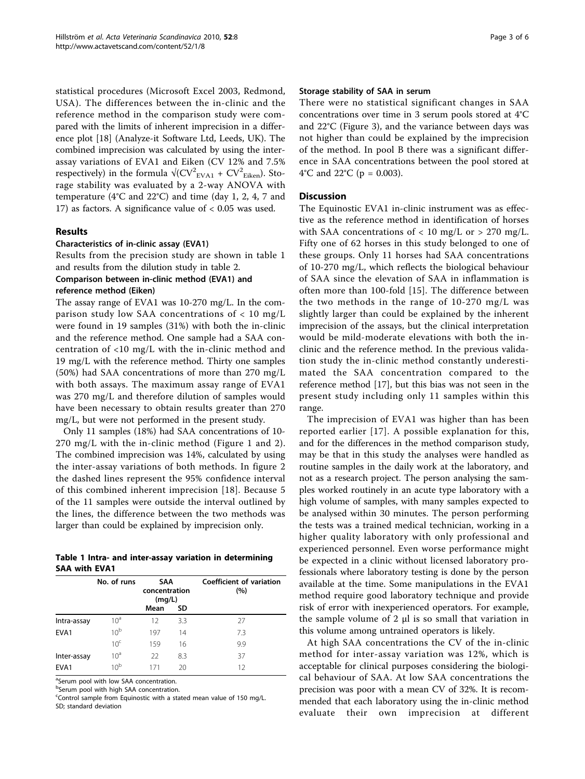statistical procedures (Microsoft Excel 2003, Redmond, USA). The differences between the in-clinic and the reference method in the comparison study were compared with the limits of inherent imprecision in a difference plot [\[18\]](#page-5-0) (Analyze-it Software Ltd, Leeds, UK). The combined imprecision was calculated by using the interassay variations of EVA1 and Eiken (CV 12% and 7.5% respectively) in the formula  $\sqrt{\text{CV}^2_{\text{EVA1}}} + \text{CV}^2_{\text{Eiken}}$ ). Storage stability was evaluated by a 2-way ANOVA with temperature (4°C and 22°C) and time (day 1, 2, 4, 7 and 17) as factors. A significance value of < 0.05 was used.

#### Results

#### Characteristics of in-clinic assay (EVA1)

Results from the precision study are shown in table 1 and results from the dilution study in table [2.](#page-3-0)

#### Comparison between in-clinic method (EVA1) and reference method (Eiken)

The assay range of EVA1 was 10-270 mg/L. In the comparison study low SAA concentrations of  $< 10$  mg/L were found in 19 samples (31%) with both the in-clinic and the reference method. One sample had a SAA concentration of <10 mg/L with the in-clinic method and 19 mg/L with the reference method. Thirty one samples (50%) had SAA concentrations of more than 270 mg/L with both assays. The maximum assay range of EVA1 was 270 mg/L and therefore dilution of samples would have been necessary to obtain results greater than 270 mg/L, but were not performed in the present study.

Only 11 samples (18%) had SAA concentrations of 10- 270 mg/L with the in-clinic method (Figure [1](#page-3-0) and [2](#page-4-0)). The combined imprecision was 14%, calculated by using the inter-assay variations of both methods. In figure [2](#page-4-0) the dashed lines represent the 95% confidence interval of this combined inherent imprecision [[18](#page-5-0)]. Because 5 of the 11 samples were outside the interval outlined by the lines, the difference between the two methods was larger than could be explained by imprecision only.

|                      |  | Table 1 Intra- and inter-assay variation in determining |
|----------------------|--|---------------------------------------------------------|
| <b>SAA with EVA1</b> |  |                                                         |

|                  | No. of runs     | <b>SAA</b><br>concentration<br>(mq/L) |     | Coefficient of variation<br>(%) |  |
|------------------|-----------------|---------------------------------------|-----|---------------------------------|--|
|                  |                 | Mean                                  | SD  |                                 |  |
| Intra-assay      | 10 <sup>a</sup> | 12                                    | 3.3 | 27                              |  |
| EVA <sub>1</sub> | 10 <sup>b</sup> | 197                                   | 14  | 7.3                             |  |
|                  | 10 <sup>c</sup> | 159                                   | 16  | 9.9                             |  |
| Inter-assay      | 10 <sup>a</sup> | 22                                    | 8.3 | 37                              |  |
| EVA <sub>1</sub> | 10 <sup>b</sup> | 171                                   | 20  | 12                              |  |

<sup>a</sup>Serum pool with low SAA concentration.

b Serum pool with high SAA concentration.

Control sample from Equinostic with a stated mean value of 150 mg/L. SD; standard deviation

#### Storage stability of SAA in serum

There were no statistical significant changes in SAA concentrations over time in 3 serum pools stored at 4°C and 22°C (Figure [3\)](#page-4-0), and the variance between days was not higher than could be explained by the imprecision of the method. In pool B there was a significant difference in SAA concentrations between the pool stored at 4°C and 22°C ( $p = 0.003$ ).

#### **Discussion**

The Equinostic EVA1 in-clinic instrument was as effective as the reference method in identification of horses with SAA concentrations of  $< 10$  mg/L or  $> 270$  mg/L. Fifty one of 62 horses in this study belonged to one of these groups. Only 11 horses had SAA concentrations of 10-270 mg/L, which reflects the biological behaviour of SAA since the elevation of SAA in inflammation is often more than 100-fold [[15\]](#page-5-0). The difference between the two methods in the range of 10-270 mg/L was slightly larger than could be explained by the inherent imprecision of the assays, but the clinical interpretation would be mild-moderate elevations with both the inclinic and the reference method. In the previous validation study the in-clinic method constantly underestimated the SAA concentration compared to the reference method [[17\]](#page-5-0), but this bias was not seen in the present study including only 11 samples within this range.

The imprecision of EVA1 was higher than has been reported earlier [\[17\]](#page-5-0). A possible explanation for this, and for the differences in the method comparison study, may be that in this study the analyses were handled as routine samples in the daily work at the laboratory, and not as a research project. The person analysing the samples worked routinely in an acute type laboratory with a high volume of samples, with many samples expected to be analysed within 30 minutes. The person performing the tests was a trained medical technician, working in a higher quality laboratory with only professional and experienced personnel. Even worse performance might be expected in a clinic without licensed laboratory professionals where laboratory testing is done by the person available at the time. Some manipulations in the EVA1 method require good laboratory technique and provide risk of error with inexperienced operators. For example, the sample volume of 2 μl is so small that variation in this volume among untrained operators is likely.

At high SAA concentrations the CV of the in-clinic method for inter-assay variation was 12%, which is acceptable for clinical purposes considering the biological behaviour of SAA. At low SAA concentrations the precision was poor with a mean CV of 32%. It is recommended that each laboratory using the in-clinic method evaluate their own imprecision at different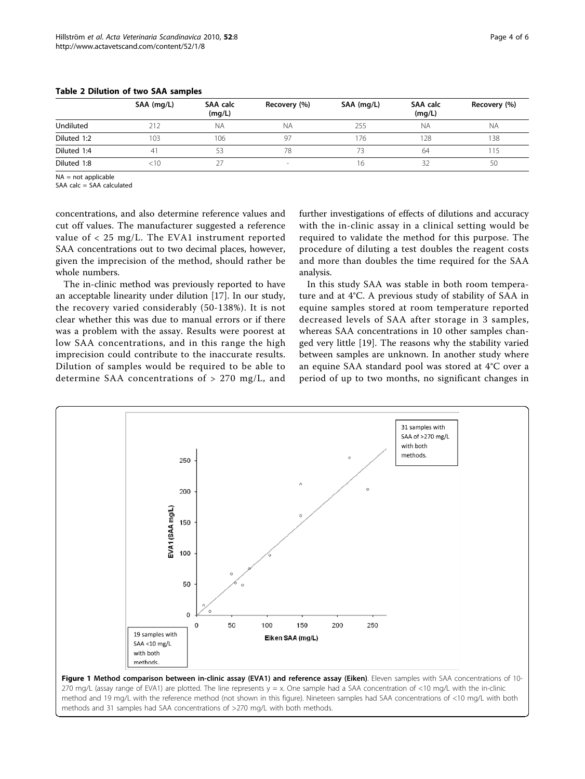|             | SAA (mg/L) | SAA calc<br>(mq/L) | Recovery (%)             | SAA (mg/L) | <b>SAA calc</b><br>(mq/L) | Recovery (%) |
|-------------|------------|--------------------|--------------------------|------------|---------------------------|--------------|
| Undiluted   |            | <b>NA</b>          | <b>NA</b>                | 255        | <b>NA</b>                 | <b>NA</b>    |
| Diluted 1:2 | 103        | 106                | 97                       | 176        | 128                       | 138          |
| Diluted 1:4 | 41         | 53                 | 78                       | 73         | 64                        |              |
| Diluted 1:8 | 10:        |                    | $\overline{\phantom{a}}$ | 16         | 32                        | 50           |

#### <span id="page-3-0"></span>Table 2 Dilution of two SAA samples

 $NA = not$ applicable

SAA calc = SAA calculated

concentrations, and also determine reference values and cut off values. The manufacturer suggested a reference value of < 25 mg/L. The EVA1 instrument reported SAA concentrations out to two decimal places, however, given the imprecision of the method, should rather be whole numbers.

The in-clinic method was previously reported to have an acceptable linearity under dilution [\[17](#page-5-0)]. In our study, the recovery varied considerably (50-138%). It is not clear whether this was due to manual errors or if there was a problem with the assay. Results were poorest at low SAA concentrations, and in this range the high imprecision could contribute to the inaccurate results. Dilution of samples would be required to be able to determine SAA concentrations of > 270 mg/L, and further investigations of effects of dilutions and accuracy with the in-clinic assay in a clinical setting would be required to validate the method for this purpose. The procedure of diluting a test doubles the reagent costs and more than doubles the time required for the SAA analysis.

In this study SAA was stable in both room temperature and at 4°C. A previous study of stability of SAA in equine samples stored at room temperature reported decreased levels of SAA after storage in 3 samples, whereas SAA concentrations in 10 other samples changed very little [[19](#page-5-0)]. The reasons why the stability varied between samples are unknown. In another study where an equine SAA standard pool was stored at 4°C over a period of up to two months, no significant changes in

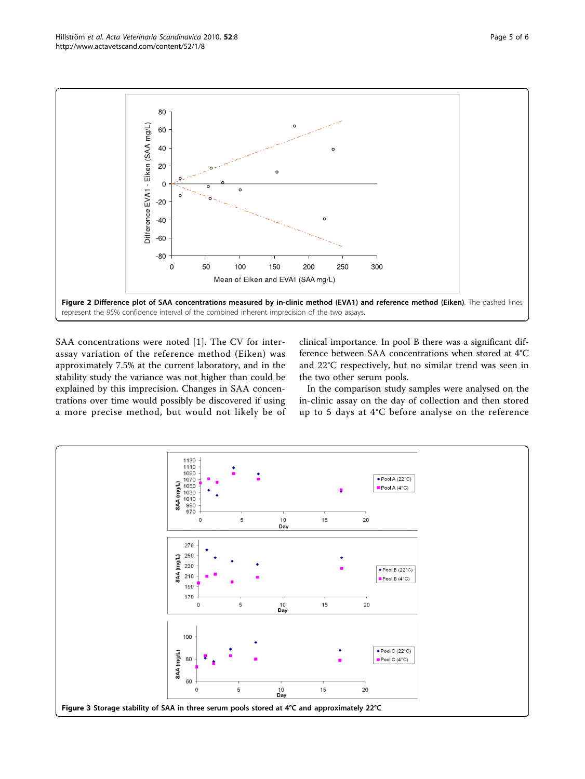<span id="page-4-0"></span>

SAA concentrations were noted [[1\]](#page-5-0). The CV for interassay variation of the reference method (Eiken) was approximately 7.5% at the current laboratory, and in the stability study the variance was not higher than could be explained by this imprecision. Changes in SAA concentrations over time would possibly be discovered if using a more precise method, but would not likely be of

clinical importance. In pool B there was a significant difference between SAA concentrations when stored at 4°C and 22°C respectively, but no similar trend was seen in the two other serum pools.

In the comparison study samples were analysed on the in-clinic assay on the day of collection and then stored up to 5 days at 4°C before analyse on the reference